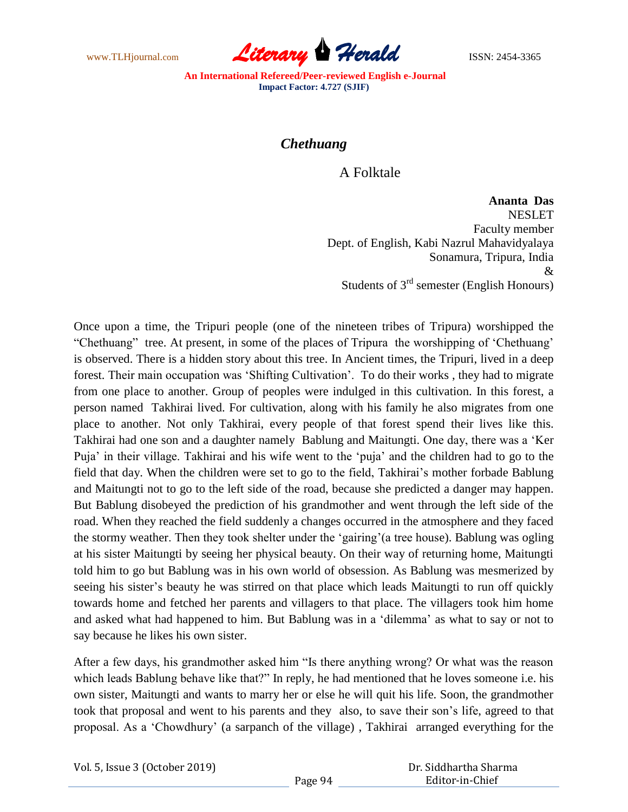www.TLHjournal.com **Literary Herald ISSN: 2454-3365** 

**An International Refereed/Peer-reviewed English e-Journal Impact Factor: 4.727 (SJIF)**

## *Chethuang*

A Folktale

**Ananta Das**  NESLET Faculty member Dept. of English, Kabi Nazrul Mahavidyalaya Sonamura, Tripura, India & Students of  $3<sup>rd</sup>$  semester (English Honours)

Once upon a time, the Tripuri people (one of the nineteen tribes of Tripura) worshipped the "Chethuang" tree. At present, in some of the places of Tripura the worshipping of "Chethuang" is observed. There is a hidden story about this tree. In Ancient times, the Tripuri, lived in a deep forest. Their main occupation was "Shifting Cultivation". To do their works , they had to migrate from one place to another. Group of peoples were indulged in this cultivation. In this forest, a person named Takhirai lived. For cultivation, along with his family he also migrates from one place to another. Not only Takhirai, every people of that forest spend their lives like this. Takhirai had one son and a daughter namely Bablung and Maitungti. One day, there was a "Ker Puja" in their village. Takhirai and his wife went to the "puja" and the children had to go to the field that day. When the children were set to go to the field, Takhirai"s mother forbade Bablung and Maitungti not to go to the left side of the road, because she predicted a danger may happen. But Bablung disobeyed the prediction of his grandmother and went through the left side of the road. When they reached the field suddenly a changes occurred in the atmosphere and they faced the stormy weather. Then they took shelter under the "gairing"(a tree house). Bablung was ogling at his sister Maitungti by seeing her physical beauty. On their way of returning home, Maitungti told him to go but Bablung was in his own world of obsession. As Bablung was mesmerized by seeing his sister's beauty he was stirred on that place which leads Maitungti to run off quickly towards home and fetched her parents and villagers to that place. The villagers took him home and asked what had happened to him. But Bablung was in a "dilemma" as what to say or not to say because he likes his own sister.

After a few days, his grandmother asked him "Is there anything wrong? Or what was the reason which leads Bablung behave like that?" In reply, he had mentioned that he loves someone i.e. his own sister, Maitungti and wants to marry her or else he will quit his life. Soon, the grandmother took that proposal and went to his parents and they also, to save their son"s life, agreed to that proposal. As a "Chowdhury" (a sarpanch of the village) , Takhirai arranged everything for the